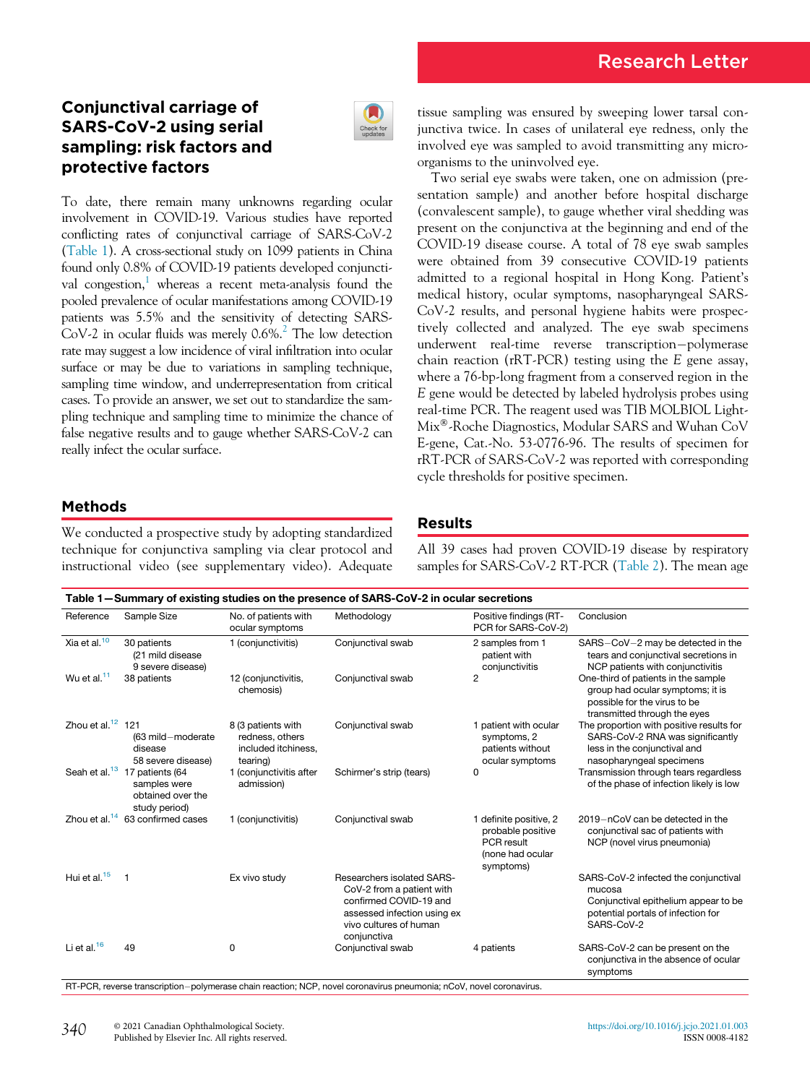# Conjunctival carriage of SARS-CoV-2 using serial sampling: risk factors and protective factors



To date, there remain many unknowns regarding ocular involvement in COVID-19. Various studies have reported conflicting rates of conjunctival carriage of SARS-CoV-2 [\(Table 1](#page-0-0)). A cross-sectional study on 1099 patients in China found only 0.8% of COVID-19 patients developed conjunctival congestion, $\frac{1}{1}$  $\frac{1}{1}$  $\frac{1}{1}$  whereas a recent meta-analysis found the pooled prevalence of ocular manifestations among COVID-19 patients was 5.5% and the sensitivity of detecting SARS- $CoV-2$  in ocular fluids was merely 0.6%.<sup>2</sup> The low detection rate may suggest a low incidence of viral infiltration into ocular surface or may be due to variations in sampling technique, sampling time window, and underrepresentation from critical cases. To provide an answer, we set out to standardize the sampling technique and sampling time to minimize the chance of false negative results and to gauge whether SARS-CoV-2 can really infect the ocular surface.

tissue sampling was ensured by sweeping lower tarsal conjunctiva twice. In cases of unilateral eye redness, only the involved eye was sampled to avoid transmitting any microorganisms to the uninvolved eye.

Two serial eye swabs were taken, one on admission (presentation sample) and another before hospital discharge (convalescent sample), to gauge whether viral shedding was present on the conjunctiva at the beginning and end of the COVID-19 disease course. A total of 78 eye swab samples were obtained from 39 consecutive COVID-19 patients admitted to a regional hospital in Hong Kong. Patient's medical history, ocular symptoms, nasopharyngeal SARS-CoV-2 results, and personal hygiene habits were prospectively collected and analyzed. The eye swab specimens underwent real-time reverse transcription-polymerase chain reaction (rRT-PCR) testing using the E gene assay, where a 76-bp-long fragment from a conserved region in the E gene would be detected by labeled hydrolysis probes using real-time PCR. The reagent used was TIB MOLBIOL Light-Mix-Roche Diagnostics, Modular SARS and Wuhan CoV E-gene, Cat.-No. 53-0776-96. The results of specimen for rRT-PCR of SARS-CoV-2 was reported with corresponding cycle thresholds for positive specimen.

## Methods

We conducted a prospective study by adopting standardized technique for conjunctiva sampling via clear protocol and instructional video (see supplementary video). Adequate

#### Results

All 39 cases had proven COVID-19 disease by respiratory samples for SARS-CoV-2 RT-PCR [\(Table 2](#page-1-0)). The mean age

<span id="page-0-0"></span>

| Table 1-Summary of existing studies on the presence of SARS-CoV-2 in ocular secretions |                                                                       |                                                                          |                                                                                                                                                                  |                                                                                            |                                                                                                                                            |
|----------------------------------------------------------------------------------------|-----------------------------------------------------------------------|--------------------------------------------------------------------------|------------------------------------------------------------------------------------------------------------------------------------------------------------------|--------------------------------------------------------------------------------------------|--------------------------------------------------------------------------------------------------------------------------------------------|
| Reference                                                                              | Sample Size                                                           | No. of patients with<br>ocular symptoms                                  | Methodology                                                                                                                                                      | Positive findings (RT-<br>PCR for SARS-CoV-2)                                              | Conclusion                                                                                                                                 |
| Xia et al. <sup>10</sup>                                                               | 30 patients<br>(21 mild disease<br>9 severe disease)                  | 1 (conjunctivitis)                                                       | Conjunctival swab                                                                                                                                                | 2 samples from 1<br>patient with<br>conjunctivitis                                         | SARS-CoV-2 may be detected in the<br>tears and conjunctival secretions in<br>NCP patients with conjunctivitis                              |
| Wu et al. $11$                                                                         | 38 patients                                                           | 12 (conjunctivitis,<br>chemosis)                                         | Conjunctival swab                                                                                                                                                | $\overline{2}$                                                                             | One-third of patients in the sample<br>group had ocular symptoms; it is<br>possible for the virus to be<br>transmitted through the eyes    |
| Zhou et al. $12$ 121                                                                   | (63 mild-moderate<br>disease<br>58 severe disease)                    | 8 (3 patients with<br>redness, others<br>included itchiness,<br>tearing) | Conjunctival swab                                                                                                                                                | 1 patient with ocular<br>symptoms, 2<br>patients without<br>ocular symptoms                | The proportion with positive results for<br>SARS-CoV-2 RNA was significantly<br>less in the conjunctival and<br>nasopharyngeal specimens   |
| Seah et al. <sup>13</sup>                                                              | 17 patients (64<br>samples were<br>obtained over the<br>study period) | 1 (conjunctivitis after<br>admission)                                    | Schirmer's strip (tears)                                                                                                                                         | 0                                                                                          | Transmission through tears regardless<br>of the phase of infection likely is low                                                           |
| Zhou et al. $14$                                                                       | 63 confirmed cases                                                    | 1 (conjunctivitis)                                                       | Conjunctival swab                                                                                                                                                | 1 definite positive, 2<br>probable positive<br>PCR result<br>(none had ocular<br>symptoms) | 2019-nCoV can be detected in the<br>conjunctival sac of patients with<br>NCP (novel virus pneumonia)                                       |
| Hui et al. <sup>15</sup>                                                               | 1                                                                     | Ex vivo study                                                            | <b>Researchers isolated SARS-</b><br>CoV-2 from a patient with<br>confirmed COVID-19 and<br>assessed infection using ex<br>vivo cultures of human<br>conjunctiva |                                                                                            | SARS-CoV-2 infected the conjunctival<br>mucosa<br>Conjunctival epithelium appear to be<br>potential portals of infection for<br>SARS-CoV-2 |
| Li et al. $16$                                                                         | 49                                                                    | 0                                                                        | Conjunctival swab                                                                                                                                                | 4 patients                                                                                 | SARS-CoV-2 can be present on the<br>conjunctiva in the absence of ocular<br>symptoms                                                       |

RT-PCR, reverse transcription-polymerase chain reaction; NCP, novel coronavirus pneumonia; nCoV, novel coronavirus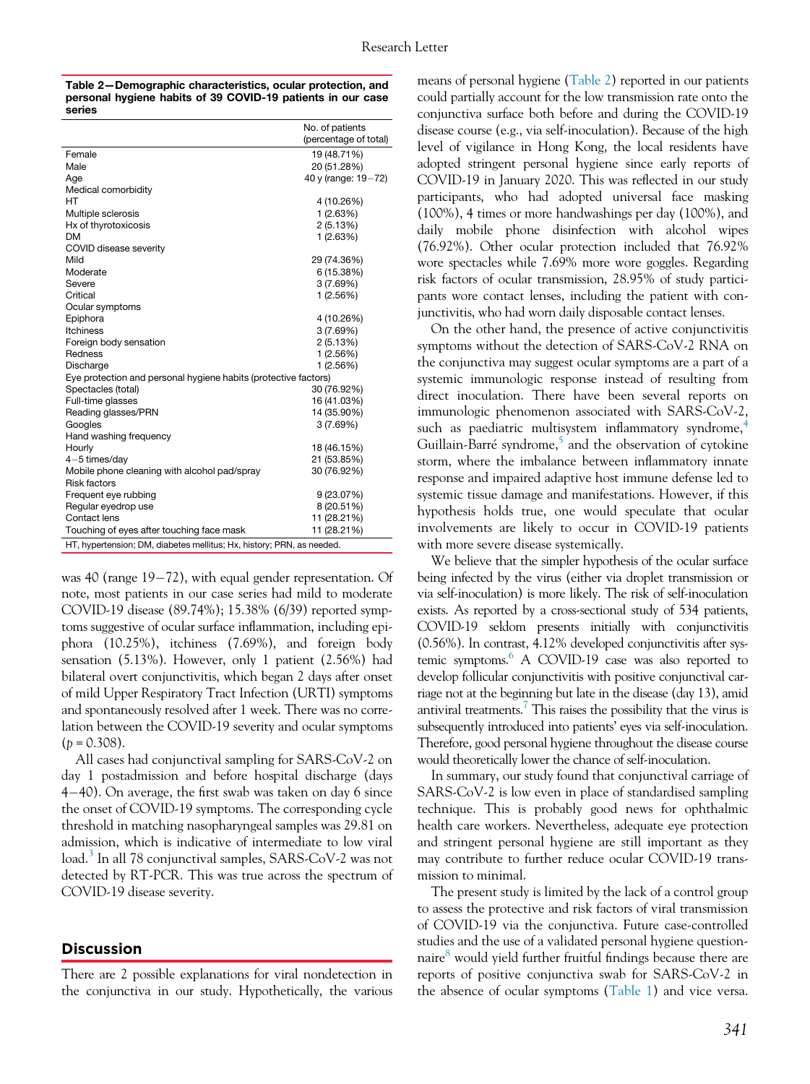<span id="page-1-0"></span>

| Table 2-Demographic characteristics, ocular protection, and |
|-------------------------------------------------------------|
| personal hygiene habits of 39 COVID-19 patients in our case |
| series                                                      |

|                                                                       | No. of patients       |  |  |  |
|-----------------------------------------------------------------------|-----------------------|--|--|--|
|                                                                       | (percentage of total) |  |  |  |
| Female                                                                | 19 (48.71%)           |  |  |  |
| Male                                                                  | 20 (51.28%)           |  |  |  |
| Age                                                                   | 40 y (range: 19-72)   |  |  |  |
| Medical comorbidity                                                   |                       |  |  |  |
| HT                                                                    | 4 (10.26%)            |  |  |  |
| Multiple sclerosis                                                    | 1(2.63%)              |  |  |  |
| Hx of thyrotoxicosis                                                  | 2 (5.13%)             |  |  |  |
| <b>DM</b>                                                             | 1 (2.63%)             |  |  |  |
| COVID disease severity                                                |                       |  |  |  |
| Mild                                                                  | 29 (74.36%)           |  |  |  |
| Moderate                                                              | 6 (15.38%)            |  |  |  |
| Severe                                                                | 3 (7.69%)             |  |  |  |
| Critical                                                              | 1(2.56%)              |  |  |  |
| Ocular symptoms                                                       |                       |  |  |  |
| Epiphora                                                              | 4 (10.26%)            |  |  |  |
| <b>Itchiness</b>                                                      | 3(7.69%)              |  |  |  |
| Foreign body sensation                                                | 2 (5.13%)             |  |  |  |
| Redness                                                               | 1(2.56%)              |  |  |  |
| Discharge                                                             | 1 (2.56%)             |  |  |  |
| Eye protection and personal hygiene habits (protective factors)       |                       |  |  |  |
| Spectacles (total)                                                    | 30 (76.92%)           |  |  |  |
| Full-time glasses                                                     | 16 (41.03%)           |  |  |  |
| Reading glasses/PRN                                                   | 14 (35.90%)           |  |  |  |
| Googles                                                               | 3(7.69%)              |  |  |  |
| Hand washing frequency                                                |                       |  |  |  |
| Hourly                                                                | 18 (46.15%)           |  |  |  |
| $4-5$ times/day                                                       | 21 (53.85%)           |  |  |  |
| Mobile phone cleaning with alcohol pad/spray                          | 30 (76.92%)           |  |  |  |
| <b>Risk factors</b>                                                   |                       |  |  |  |
| Frequent eye rubbing                                                  | 9 (23.07%)            |  |  |  |
| Regular eyedrop use                                                   | 8 (20.51%)            |  |  |  |
| Contact lens                                                          | 11 (28.21%)           |  |  |  |
| Touching of eyes after touching face mask                             | 11 (28.21%)           |  |  |  |
| HT, hypertension; DM, diabetes mellitus; Hx, history; PRN, as needed. |                       |  |  |  |
|                                                                       |                       |  |  |  |

was 40 (range  $19-72$ ), with equal gender representation. Of note, most patients in our case series had mild to moderate COVID-19 disease (89.74%); 15.38% (6/39) reported symptoms suggestive of ocular surface inflammation, including epiphora (10.25%), itchiness (7.69%), and foreign body sensation (5.13%). However, only 1 patient (2.56%) had bilateral overt conjunctivitis, which began 2 days after onset of mild Upper Respiratory Tract Infection (URTI) symptoms and spontaneously resolved after 1 week. There was no correlation between the COVID-19 severity and ocular symptoms  $(p = 0.308)$ .

All cases had conjunctival sampling for SARS-CoV-2 on day 1 postadmission and before hospital discharge (days <sup>4</sup>40). On average, the first swab was taken on day 6 since the onset of COVID-19 symptoms. The corresponding cycle threshold in matching nasopharyngeal samples was 29.81 on admission, which is indicative of intermediate to low viral load.[3](#page-2-9) In all 78 conjunctival samples, SARS-CoV-2 was not detected by RT-PCR. This was true across the spectrum of COVID-19 disease severity.

#### **Discussion**

There are 2 possible explanations for viral nondetection in the conjunctiva in our study. Hypothetically, the various means of personal hygiene [\(Table 2\)](#page-1-0) reported in our patients could partially account for the low transmission rate onto the conjunctiva surface both before and during the COVID-19 disease course (e.g., via self-inoculation). Because of the high level of vigilance in Hong Kong, the local residents have adopted stringent personal hygiene since early reports of COVID-19 in January 2020. This was reflected in our study participants, who had adopted universal face masking (100%), 4 times or more handwashings per day (100%), and daily mobile phone disinfection with alcohol wipes (76.92%). Other ocular protection included that 76.92% wore spectacles while 7.69% more wore goggles. Regarding risk factors of ocular transmission, 28.95% of study participants wore contact lenses, including the patient with conjunctivitis, who had worn daily disposable contact lenses.

On the other hand, the presence of active conjunctivitis symptoms without the detection of SARS-CoV-2 RNA on the conjunctiva may suggest ocular symptoms are a part of a systemic immunologic response instead of resulting from direct inoculation. There have been several reports on immunologic phenomenon associated with SARS-CoV-2, such as paediatric multisystem inflammatory syndrome, $4$ Guillain-Barré syndrome, $5$  and the observation of cytokine storm, where the imbalance between inflammatory innate response and impaired adaptive host immune defense led to systemic tissue damage and manifestations. However, if this hypothesis holds true, one would speculate that ocular involvements are likely to occur in COVID-19 patients with more severe disease systemically.

We believe that the simpler hypothesis of the ocular surface being infected by the virus (either via droplet transmission or via self-inoculation) is more likely. The risk of self-inoculation exists. As reported by a cross-sectional study of 534 patients, COVID-19 seldom presents initially with conjunctivitis (0.56%). In contrast, 4.12% developed conjunctivitis after systemic symptoms.<sup>6</sup> A COVID-19 case was also reported to develop follicular conjunctivitis with positive conjunctival carriage not at the beginning but late in the disease (day 13), amid antiviral treatments.<sup>7</sup> This raises the possibility that the virus is subsequently introduced into patients' eyes via self-inoculation. Therefore, good personal hygiene throughout the disease course would theoretically lower the chance of self-inoculation.

In summary, our study found that conjunctival carriage of SARS-CoV-2 is low even in place of standardised sampling technique. This is probably good news for ophthalmic health care workers. Nevertheless, adequate eye protection and stringent personal hygiene are still important as they may contribute to further reduce ocular COVID-19 transmission to minimal.

The present study is limited by the lack of a control group to assess the protective and risk factors of viral transmission of COVID-19 via the conjunctiva. Future case-controlled studies and the use of a validated personal hygiene question-naire<sup>[8](#page-2-14)</sup> would yield further fruitful findings because there are reports of positive conjunctiva swab for SARS-CoV-2 in the absence of ocular symptoms ([Table 1\)](#page-0-0) and vice versa.